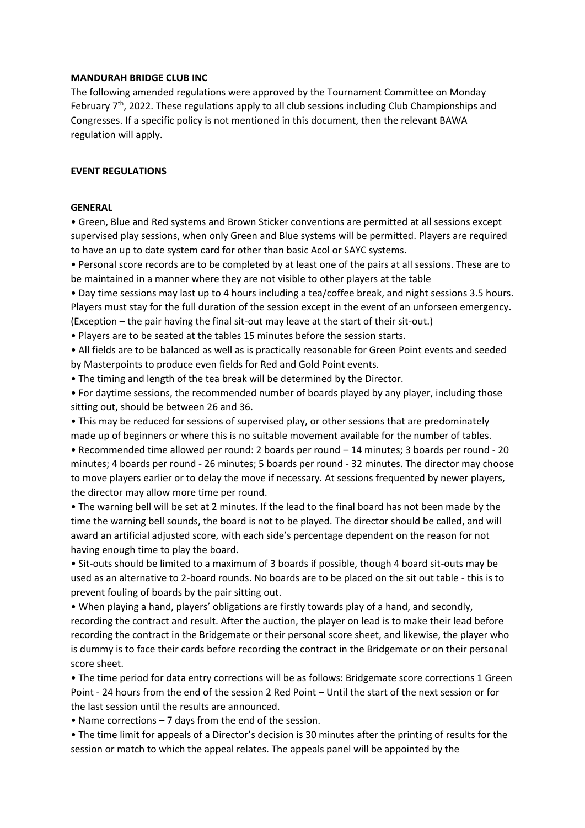#### **MANDURAH BRIDGE CLUB INC**

The following amended regulations were approved by the Tournament Committee on Monday February 7<sup>th</sup>, 2022. These regulations apply to all club sessions including Club Championships and Congresses. If a specific policy is not mentioned in this document, then the relevant BAWA regulation will apply.

#### **EVENT REGULATIONS**

#### **GENERAL**

• Green, Blue and Red systems and Brown Sticker conventions are permitted at all sessions except supervised play sessions, when only Green and Blue systems will be permitted. Players are required to have an up to date system card for other than basic Acol or SAYC systems.

• Personal score records are to be completed by at least one of the pairs at all sessions. These are to be maintained in a manner where they are not visible to other players at the table

• Day time sessions may last up to 4 hours including a tea/coffee break, and night sessions 3.5 hours. Players must stay for the full duration of the session except in the event of an unforseen emergency.

(Exception – the pair having the final sit-out may leave at the start of their sit-out.) • Players are to be seated at the tables 15 minutes before the session starts.

• All fields are to be balanced as well as is practically reasonable for Green Point events and seeded by Masterpoints to produce even fields for Red and Gold Point events.

• The timing and length of the tea break will be determined by the Director.

• For daytime sessions, the recommended number of boards played by any player, including those sitting out, should be between 26 and 36.

• This may be reduced for sessions of supervised play, or other sessions that are predominately made up of beginners or where this is no suitable movement available for the number of tables.

• Recommended time allowed per round: 2 boards per round – 14 minutes; 3 boards per round - 20 minutes; 4 boards per round - 26 minutes; 5 boards per round - 32 minutes. The director may choose to move players earlier or to delay the move if necessary. At sessions frequented by newer players, the director may allow more time per round.

• The warning bell will be set at 2 minutes. If the lead to the final board has not been made by the time the warning bell sounds, the board is not to be played. The director should be called, and will award an artificial adjusted score, with each side's percentage dependent on the reason for not having enough time to play the board.

• Sit-outs should be limited to a maximum of 3 boards if possible, though 4 board sit-outs may be used as an alternative to 2-board rounds. No boards are to be placed on the sit out table - this is to prevent fouling of boards by the pair sitting out.

• When playing a hand, players' obligations are firstly towards play of a hand, and secondly, recording the contract and result. After the auction, the player on lead is to make their lead before recording the contract in the Bridgemate or their personal score sheet, and likewise, the player who is dummy is to face their cards before recording the contract in the Bridgemate or on their personal score sheet.

• The time period for data entry corrections will be as follows: Bridgemate score corrections 1 Green Point - 24 hours from the end of the session 2 Red Point – Until the start of the next session or for the last session until the results are announced.

• Name corrections – 7 days from the end of the session.

• The time limit for appeals of a Director's decision is 30 minutes after the printing of results for the session or match to which the appeal relates. The appeals panel will be appointed by the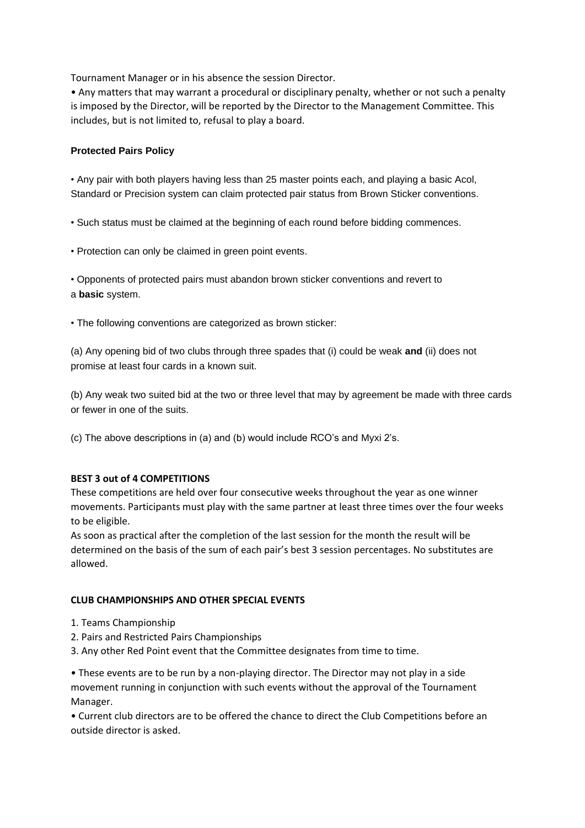Tournament Manager or in his absence the session Director.

• Any matters that may warrant a procedural or disciplinary penalty, whether or not such a penalty is imposed by the Director, will be reported by the Director to the Management Committee. This includes, but is not limited to, refusal to play a board.

## **Protected Pairs Policy**

• Any pair with both players having less than 25 master points each, and playing a basic Acol, Standard or Precision system can claim protected pair status from Brown Sticker conventions.

• Such status must be claimed at the beginning of each round before bidding commences.

• Protection can only be claimed in green point events.

• Opponents of protected pairs must abandon brown sticker conventions and revert to a **basic** system.

• The following conventions are categorized as brown sticker:

(a) Any opening bid of two clubs through three spades that (i) could be weak **and** (ii) does not promise at least four cards in a known suit.

(b) Any weak two suited bid at the two or three level that may by agreement be made with three cards or fewer in one of the suits.

(c) The above descriptions in (a) and (b) would include RCO's and Myxi 2's.

## **BEST 3 out of 4 COMPETITIONS**

These competitions are held over four consecutive weeks throughout the year as one winner movements. Participants must play with the same partner at least three times over the four weeks to be eligible.

As soon as practical after the completion of the last session for the month the result will be determined on the basis of the sum of each pair's best 3 session percentages. No substitutes are allowed.

## **CLUB CHAMPIONSHIPS AND OTHER SPECIAL EVENTS**

- 1. Teams Championship
- 2. Pairs and Restricted Pairs Championships
- 3. Any other Red Point event that the Committee designates from time to time.

• These events are to be run by a non-playing director. The Director may not play in a side movement running in conjunction with such events without the approval of the Tournament Manager.

• Current club directors are to be offered the chance to direct the Club Competitions before an outside director is asked.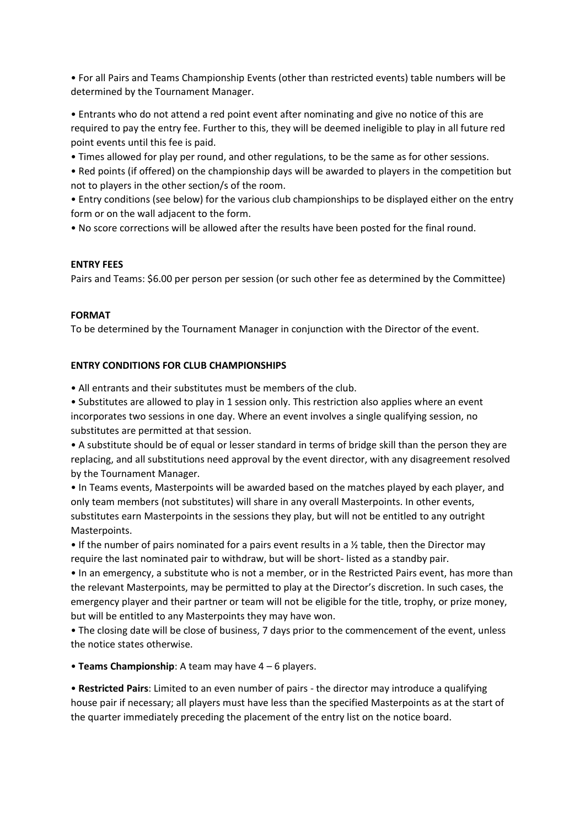• For all Pairs and Teams Championship Events (other than restricted events) table numbers will be determined by the Tournament Manager.

• Entrants who do not attend a red point event after nominating and give no notice of this are required to pay the entry fee. Further to this, they will be deemed ineligible to play in all future red point events until this fee is paid.

• Times allowed for play per round, and other regulations, to be the same as for other sessions.

• Red points (if offered) on the championship days will be awarded to players in the competition but not to players in the other section/s of the room.

• Entry conditions (see below) for the various club championships to be displayed either on the entry form or on the wall adjacent to the form.

• No score corrections will be allowed after the results have been posted for the final round.

## **ENTRY FEES**

Pairs and Teams: \$6.00 per person per session (or such other fee as determined by the Committee)

## **FORMAT**

To be determined by the Tournament Manager in conjunction with the Director of the event.

# **ENTRY CONDITIONS FOR CLUB CHAMPIONSHIPS**

• All entrants and their substitutes must be members of the club.

• Substitutes are allowed to play in 1 session only. This restriction also applies where an event incorporates two sessions in one day. Where an event involves a single qualifying session, no substitutes are permitted at that session.

• A substitute should be of equal or lesser standard in terms of bridge skill than the person they are replacing, and all substitutions need approval by the event director, with any disagreement resolved by the Tournament Manager.

• In Teams events, Masterpoints will be awarded based on the matches played by each player, and only team members (not substitutes) will share in any overall Masterpoints. In other events, substitutes earn Masterpoints in the sessions they play, but will not be entitled to any outright Masterpoints.

• If the number of pairs nominated for a pairs event results in a ½ table, then the Director may require the last nominated pair to withdraw, but will be short- listed as a standby pair.

• In an emergency, a substitute who is not a member, or in the Restricted Pairs event, has more than the relevant Masterpoints, may be permitted to play at the Director's discretion. In such cases, the emergency player and their partner or team will not be eligible for the title, trophy, or prize money, but will be entitled to any Masterpoints they may have won.

• The closing date will be close of business, 7 days prior to the commencement of the event, unless the notice states otherwise.

• **Teams Championship**: A team may have 4 – 6 players.

• **Restricted Pairs**: Limited to an even number of pairs - the director may introduce a qualifying house pair if necessary; all players must have less than the specified Masterpoints as at the start of the quarter immediately preceding the placement of the entry list on the notice board.